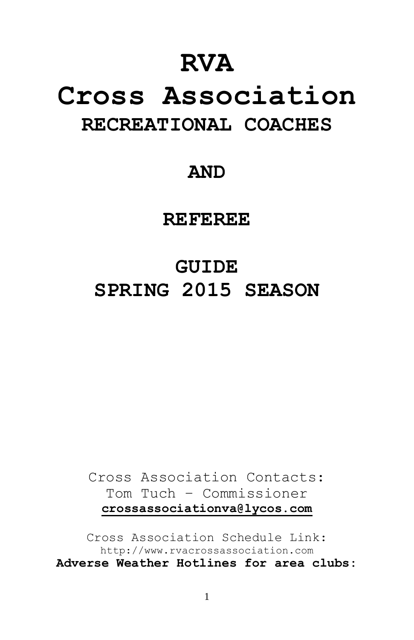## **RVA**

# **Cross Association RECREATIONAL COACHES**

### **AND**

**REFEREE**

# **GUIDE SPRING 2015 SEASON**

Cross Association Contacts: Tom Tuch – Commissioner **[crossassociationva@lycos.com](mailto:crossassociationva@lycos.com)**

Cross Association Schedule Link: http://www.rvacrossassociation.com **Adverse Weather Hotlines for area clubs:**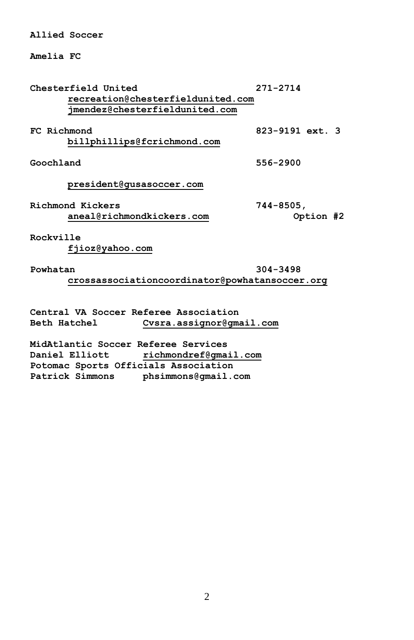**Allied Soccer**

**Amelia FC**

**Chesterfield United 271-2714 [recreation@chesterfieldunited.com](mailto:recreation@chesterfieldunited.com) [jmendez@chesterfieldunited.com](mailto:jmendez@chesterfieldunited.com) FC Richmond 823-9191 ext. 3 [billphillips@fcrichmond.com](mailto:billphillips@fcrichmond.com) Goochland 556-2900 [president@gusasoccer.com](mailto:president@gusasoccer.com) Richmond Kickers 744-8505, [aneal@richmondkickers.com](mailto:aneal@richmondkickers.com) Option #2 Rockville [fjioz@yahoo.com](mailto:fjioz@yahoo.com) Powhatan 304-3498 [crossassociationcoordinator@powhatansoccer.org](mailto:crossassociationcoordinator@powhatansoccer.org)**

**Central VA Soccer Referee Association Beth Hatchel [Cvsra.assignor@gmail.com](mailto:Cvsra.assignor@gmail.com)**

**MidAtlantic Soccer Referee Services Daniel Elliott [richmondref@gmail.com](mailto:richmondref@gmail.com) Potomac Sports Officials Association Patrick Simmons [phsimmons@gmail.com](mailto:phsimmons@gmail.com)**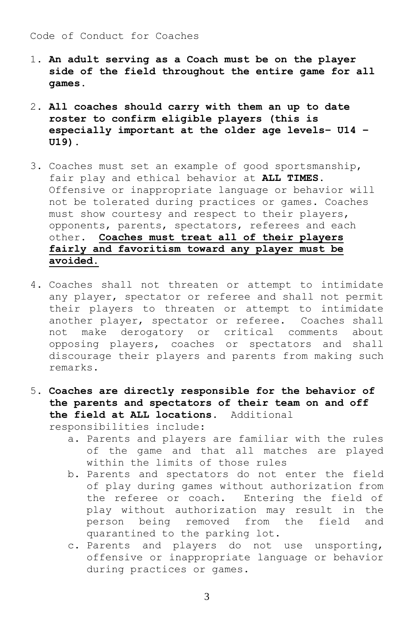#### Code of Conduct for Coaches

- 1. **An adult serving as a Coach must be on the player side of the field throughout the entire game for all games.**
- 2. **All coaches should carry with them an up to date roster to confirm eligible players (this is especially important at the older age levels– U14 – U19).**
- 3. Coaches must set an example of good sportsmanship, fair play and ethical behavior at **ALL TIMES**. Offensive or inappropriate language or behavior will not be tolerated during practices or games. Coaches must show courtesy and respect to their players, opponents, parents, spectators, referees and each other. **Coaches must treat all of their players fairly and favoritism toward any player must be avoided.**
- 4. Coaches shall not threaten or attempt to intimidate any player, spectator or referee and shall not permit their players to threaten or attempt to intimidate another player, spectator or referee. Coaches shall not make derogatory or critical comments about opposing players, coaches or spectators and shall discourage their players and parents from making such remarks.
- 5. **Coaches are directly responsible for the behavior of the parents and spectators of their team on and off the field at ALL locations.** Additional

responsibilities include:

- a. Parents and players are familiar with the rules of the game and that all matches are played within the limits of those rules
- b. Parents and spectators do not enter the field of play during games without authorization from the referee or coach. Entering the field of play without authorization may result in the person being removed from the field and quarantined to the parking lot.
- c. Parents and players do not use unsporting, offensive or inappropriate language or behavior during practices or games.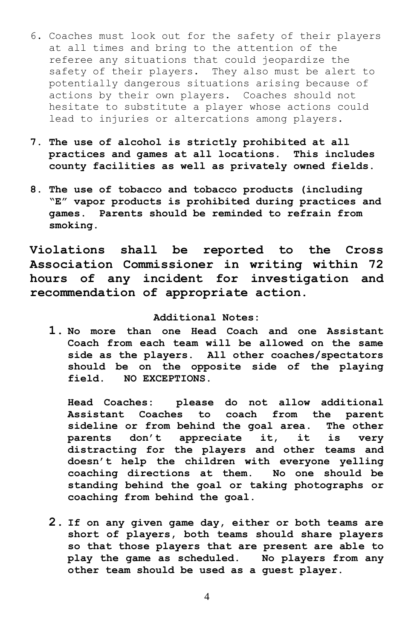- 6. Coaches must look out for the safety of their players at all times and bring to the attention of the referee any situations that could jeopardize the safety of their players. They also must be alert to potentially dangerous situations arising because of actions by their own players. Coaches should not hesitate to substitute a player whose actions could lead to injuries or altercations among players.
- **7. The use of alcohol is strictly prohibited at all practices and games at all locations. This includes county facilities as well as privately owned fields.**
- **8. The use of tobacco and tobacco products (including "E" vapor products is prohibited during practices and games. Parents should be reminded to refrain from smoking.**

**Violations shall be reported to the Cross Association Commissioner in writing within 72 hours of any incident for investigation and recommendation of appropriate action.**

#### **Additional Notes:**

**1. No more than one Head Coach and one Assistant Coach from each team will be allowed on the same side as the players. All other coaches/spectators should be on the opposite side of the playing field. NO EXCEPTIONS.**

**Head Coaches: please do not allow additional Assistant Coaches to coach from the parent sideline or from behind the goal area. The other parents don't appreciate it, it is very distracting for the players and other teams and doesn't help the children with everyone yelling coaching directions at them. No one should be standing behind the goal or taking photographs or coaching from behind the goal.**

**2. If on any given game day, either or both teams are short of players, both teams should share players so that those players that are present are able to play the game as scheduled. No players from any other team should be used as a guest player.** 

4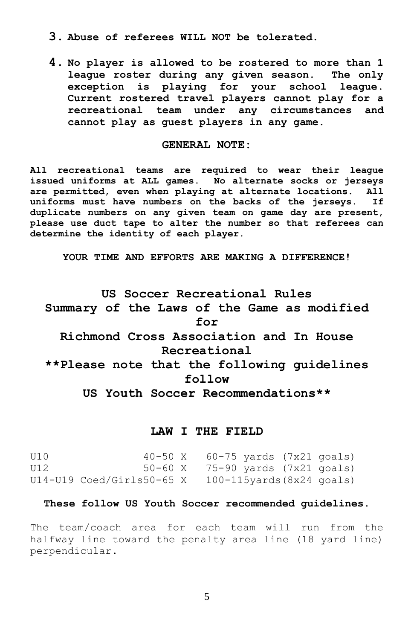- **3. Abuse of referees WILL NOT be tolerated.**
- **4. No player is allowed to be rostered to more than 1 league roster during any given season. The only exception is playing for your school league. Current rostered travel players cannot play for a recreational team under any circumstances and cannot play as guest players in any game.**

#### **GENERAL NOTE:**

**All recreational teams are required to wear their league issued uniforms at ALL games. No alternate socks or jerseys are permitted, even when playing at alternate locations. All uniforms must have numbers on the backs of the jerseys. If duplicate numbers on any given team on game day are present, please use duct tape to alter the number so that referees can determine the identity of each player.**

**YOUR TIME AND EFFORTS ARE MAKING A DIFFERENCE!**

### **US Soccer Recreational Rules Summary of the Laws of the Game as modified for Richmond Cross Association and In House Recreational \*\*Please note that the following guidelines follow US Youth Soccer Recommendations\*\***

#### **LAW I THE FIELD**

U10 40-50 X 60-75 yards (7x21 goals) U12 50-60 X 75-90 yards (7x21 goals) U14-U19 Coed/Girls50-65 X 100-115yards(8x24 goals)

#### **These follow US Youth Soccer recommended guidelines.**

The team/coach area for each team will run from the halfway line toward the penalty area line (18 yard line) perpendicular**.**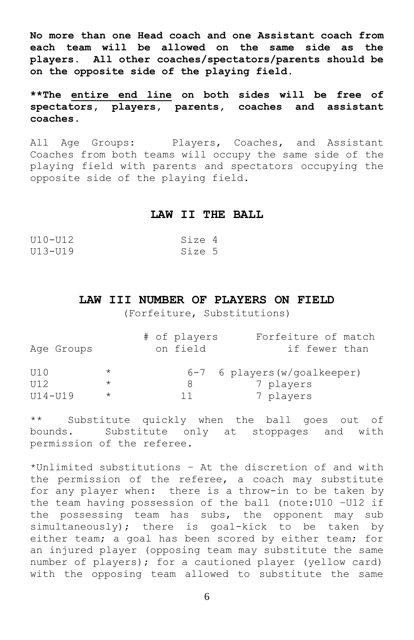**No more than one Head coach and one Assistant coach from each team will be allowed on the same side as the players. All other coaches/spectators/parents should be on the opposite side of the playing field.** 

**\*\*The entire end line on both sides will be free of spectators, players, parents, coaches and assistant coaches**.

All Age Groups: Players, Coaches, and Assistant Coaches from both teams will occupy the same side of the playing field with parents and spectators occupying the opposite side of the playing field.

#### **LAW II THE BALL**

| $U10-U12$ | Size 4 |  |
|-----------|--------|--|
| U13-U19   | Size 5 |  |

#### **LAW III NUMBER OF PLAYERS ON FIELD**

(Forfeiture, Substitutions)

| Age Groups  |         | # of players<br>on field | Forfeiture of match<br>if fewer than |
|-------------|---------|--------------------------|--------------------------------------|
| U10         | $\star$ |                          | $6-7$ 6 players (w/qoalkeeper)       |
| III2        | $\star$ | 8                        | 7 players                            |
| $U14 - U19$ | $\star$ | 11                       | 7 players                            |

\*\* Substitute quickly when the ball goes out of bounds. Substitute only at stoppages and with permission of the referee.

\*Unlimited substitutions – At the discretion of and with the permission of the referee, a coach may substitute for any player when: there is a throw-in to be taken by the team having possession of the ball (note: U10 - U12 if the possessing team has subs, the opponent may sub simultaneously); there is goal-kick to be taken by either team; a goal has been scored by either team; for an injured player (opposing team may substitute the same number of players); for a cautioned player (yellow card) with the opposing team allowed to substitute the same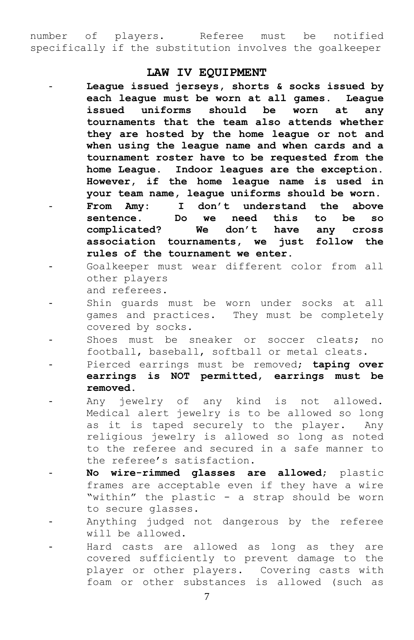number of players. Referee must be notified specifically if the substitution involves the goalkeeper

#### **LAW IV EQUIPMENT**

- **League issued jerseys, shorts & socks issued by each league must be worn at all games. League issued uniforms should be worn at any tournaments that the team also attends whether they are hosted by the home league or not and when using the league name and when cards and a tournament roster have to be requested from the home League. Indoor leagues are the exception. However, if the home league name is used in your team name, league uniforms should be worn.** - **From Amy: I don't understand the above sentence. Do we need this to be so complicated? We don't have any cross association tournaments, we just follow the rules of the tournament we enter.**
- Goalkeeper must wear different color from all other players and referees.
- Shin quards must be worn under socks at all games and practices. They must be completely covered by socks.
- Shoes must be sneaker or soccer cleats; no football, baseball, softball or metal cleats.
- Pierced earrings must be removed; **taping over earrings is NOT permitted, earrings must be removed.**
- Any jewelry of any kind is not allowed. Medical alert jewelry is to be allowed so long as it is taped securely to the player. Any religious jewelry is allowed so long as noted to the referee and secured in a safe manner to the referee's satisfaction.
- No wire-rimmed glasses are allowed; plastic frames are acceptable even if they have a wire "within" the plastic - a strap should be worn to secure glasses.
- Anything judged not dangerous by the referee will be allowed.
- Hard casts are allowed as long as they are covered sufficiently to prevent damage to the player or other players. Covering casts with foam or other substances is allowed (such as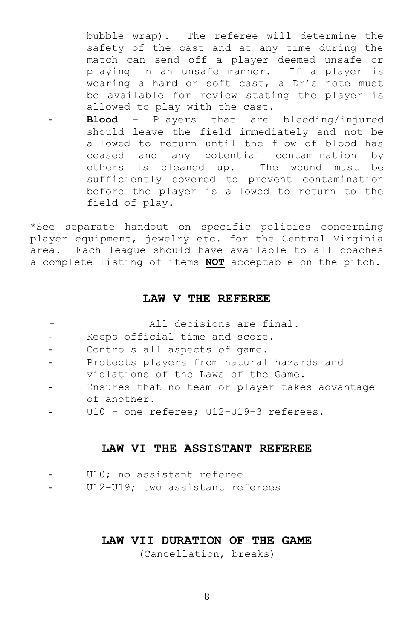bubble wrap). The referee will determine the safety of the cast and at any time during the match can send off a player deemed unsafe or playing in an unsafe manner. If a player is wearing a hard or soft cast, a Dr's note must be available for review stating the player is allowed to play with the cast.

- **Blood** – Players that are bleeding/injured should leave the field immediately and not be allowed to return until the flow of blood has ceased and any potential contamination by others is cleaned up. The wound must be sufficiently covered to prevent contamination before the player is allowed to return to the field of play.

\*See separate handout on specific policies concerning player equipment, jewelry etc. for the Central Virginia area. Each league should have available to all coaches a complete listing of items **NOT** acceptable on the pitch.

#### **LAW V THE REFEREE**

|  |  | All decisions are final. |  |  |
|--|--|--------------------------|--|--|
|--|--|--------------------------|--|--|

- Keeps official time and score.
- Controls all aspects of game.
- Protects players from natural hazards and violations of the Laws of the Game.
- Ensures that no team or player takes advantage of another.
- U10 one referee; U12-U19-3 referees.

#### **LAW VI THE ASSISTANT REFEREE**

|  | U10; no assistant referee |  |
|--|---------------------------|--|
|--|---------------------------|--|

U12-U19; two assistant referees

#### **LAW VII DURATION OF THE GAME**

(Cancellation, breaks)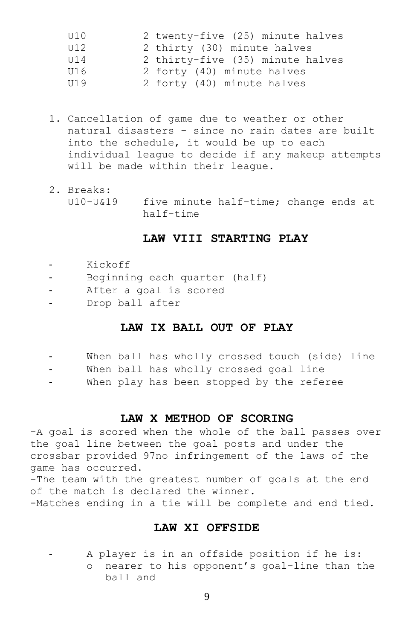| U10 | 2 twenty-five (25) minute halves |
|-----|----------------------------------|
| U12 | 2 thirty (30) minute halves      |
| U14 | 2 thirty-five (35) minute halves |
| U16 | 2 forty (40) minute halves       |
| U19 | 2 forty (40) minute halves       |

- 1. Cancellation of game due to weather or other natural disasters - since no rain dates are built into the schedule, it would be up to each individual league to decide if any makeup attempts will be made within their league.
- 2. Breaks: U10-U&19 five minute half-time; change ends at half-time

#### **LAW VIII STARTING PLAY**

- Kickoff
- Beginning each quarter (half)
- After a goal is scored
- Drop ball after

#### **LAW IX BALL OUT OF PLAY**

|  |  |  |  |  | When ball has wholly crossed touch (side) line |  |  |  |
|--|--|--|--|--|------------------------------------------------|--|--|--|
|--|--|--|--|--|------------------------------------------------|--|--|--|

- When ball has wholly crossed goal line
- When play has been stopped by the referee

#### **LAW X METHOD OF SCORING**

-A goal is scored when the whole of the ball passes over the goal line between the goal posts and under the crossbar provided 97no infringement of the laws of the game has occurred.

-The team with the greatest number of goals at the end of the match is declared the winner. -Matches ending in a tie will be complete and end tied.

#### **LAW XI OFFSIDE**

A player is in an offside position if he is: o nearer to his opponent's goal-line than the ball and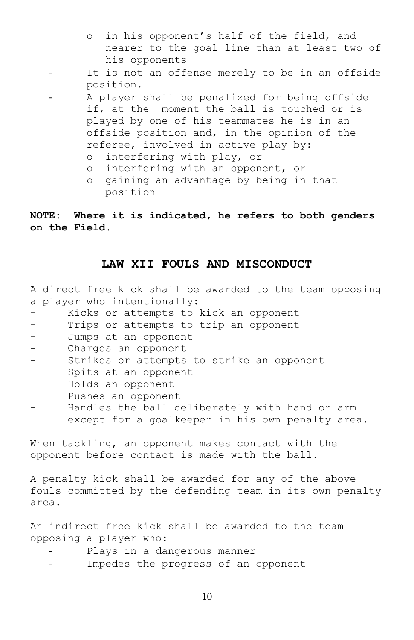- o in his opponent's half of the field, and nearer to the goal line than at least two of his opponents
- It is not an offense merely to be in an offside position.
- A player shall be penalized for being offside if, at the moment the ball is touched or is played by one of his teammates he is in an offside position and, in the opinion of the referee, involved in active play by:
	- o interfering with play, or
	- o interfering with an opponent, or
	- o gaining an advantage by being in that position

**NOTE: Where it is indicated, he refers to both genders on the Field.**

#### **LAW XII FOULS AND MISCONDUCT**

A direct free kick shall be awarded to the team opposing a player who intentionally:

- Kicks or attempts to kick an opponent
- Trips or attempts to trip an opponent
- Jumps at an opponent
- Charges an opponent
- Strikes or attempts to strike an opponent
- Spits at an opponent
- Holds an opponent
- Pushes an opponent
- Handles the ball deliberately with hand or arm except for a goalkeeper in his own penalty area.

When tackling, an opponent makes contact with the opponent before contact is made with the ball.

A penalty kick shall be awarded for any of the above fouls committed by the defending team in its own penalty area.

An indirect free kick shall be awarded to the team opposing a player who:

- Plays in a dangerous manner
- Impedes the progress of an opponent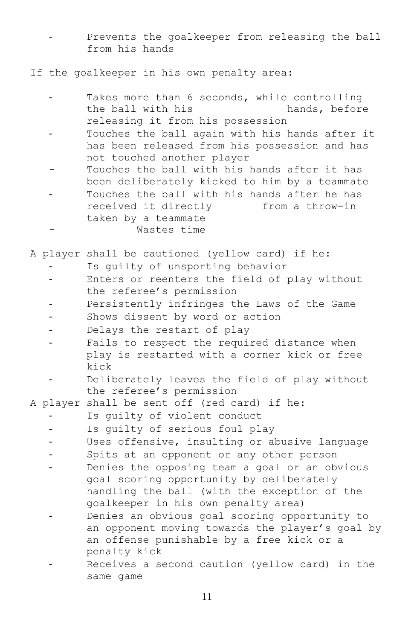- Prevents the goalkeeper from releasing the ball from his hands

If the goalkeeper in his own penalty area:

|  | Takes more than 6 seconds, while controlling     |
|--|--------------------------------------------------|
|  | the ball with his<br>hands, before               |
|  |                                                  |
|  | releasing it from his possession                 |
|  | Touches the ball again with his hands after it   |
|  | has been released from his possession and has    |
|  | not touched another player                       |
|  | Touches the ball with his hands after it has     |
|  | been deliberately kicked to him by a teammate    |
|  | Touches the ball with his hands after he has     |
|  | received it directly<br>from a throw-in          |
|  | taken by a teammate                              |
|  | Wastes time                                      |
|  |                                                  |
|  | A player shall be cautioned (yellow card) if he: |
|  | Is guilty of unsporting behavior                 |
|  | Enters or reenters the field of play without     |
|  | the referee's permission                         |
|  | Persistently infringes the Laws of the Game      |
|  | Shows dissent by word or action                  |
|  | Delays the restart of play                       |
|  | Fails to respect the required distance when      |
|  | play is restarted with a corner kick or free     |
|  | kick                                             |
|  | Deliberately leaves the field of play without    |
|  | the referee's permission                         |
|  | A player shall be sent off (red card) if he:     |
|  | Is guilty of violent conduct                     |
|  | Is guilty of serious foul play                   |
|  | Uses offensive, insulting or abusive language    |
|  | Spits at an opponent or any other person         |
|  | Denies the opposing team a goal or an obvious    |
|  | goal scoring opportunity by deliberately         |
|  | handling the ball (with the exception of the     |
|  | goalkeeper in his own penalty area)              |
|  | Denies an obvious goal scoring opportunity to    |
|  | an opponent moving towards the player's goal by  |
|  | an offense punishable by a free kick or a        |
|  | penalty kick                                     |
|  | Receives a second caution (yellow card) in the   |
|  | same game                                        |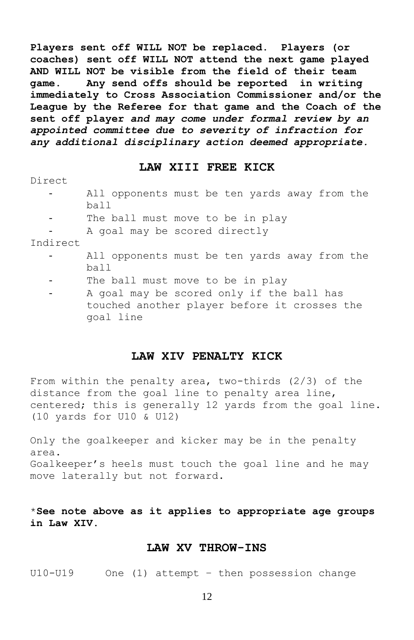**Players sent off WILL NOT be replaced. Players (or coaches) sent off WILL NOT attend the next game played AND WILL NOT be visible from the field of their team game**. **Any send offs should be reported in writing immediately to Cross Association Commissioner and/or the League by the Referee for that game and the Coach of the sent off player** *and may come under formal review by an appointed committee due to severity of infraction for any additional disciplinary action deemed appropriate.*

#### **LAW XIII FREE KICK**

Direct

- All opponents must be ten yards away from the ball
- The ball must move to be in play
- A goal may be scored directly

Indirect

- All opponents must be ten yards away from the ball
- The ball must move to be in play
- A goal may be scored only if the ball has touched another player before it crosses the goal line

#### **LAW XIV PENALTY KICK**

From within the penalty area, two-thirds (2/3) of the distance from the goal line to penalty area line, centered; this is generally 12 yards from the goal line. (10 yards for U10 & U12)

Only the goalkeeper and kicker may be in the penalty area. Goalkeeper's heels must touch the goal line and he may move laterally but not forward.

\***See note above as it applies to appropriate age groups in Law XIV.**

#### **LAW XV THROW-INS**

U10-U19 One (1) attempt – then possession change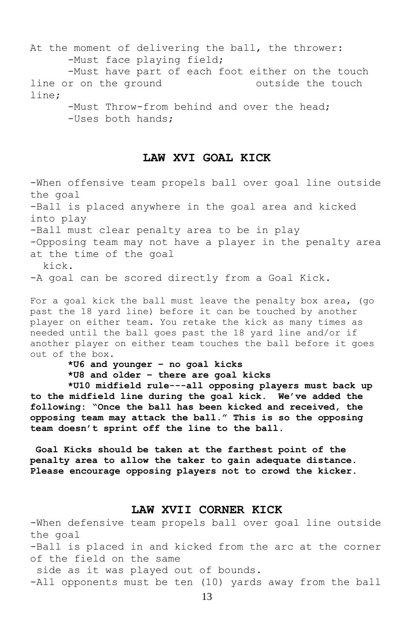At the moment of delivering the ball, the thrower: -Must face playing field; -Must have part of each foot either on the touch line or on the ground outside the touch line; -Must Throw-from behind and over the head; -Uses both hands;

#### **LAW XVI GOAL KICK**

-When offensive team propels ball over goal line outside the goal -Ball is placed anywhere in the goal area and kicked into play -Ball must clear penalty area to be in play -Opposing team may not have a player in the penalty area at the time of the goal kick. -A goal can be scored directly from a Goal Kick.

For a goal kick the ball must leave the penalty box area, (go past the 18 yard line) before it can be touched by another player on either team. You retake the kick as many times as needed until the ball goes past the 18 yard line and/or if another player on either team touches the ball before it goes out of the box.

**\*U6 and younger – no goal kicks \*U8 and older – there are goal kicks**

**\*U10 midfield rule---all opposing players must back up to the midfield line during the goal kick. We've added the following: "Once the ball has been kicked and received, the opposing team may attack the ball." This is so the opposing team doesn't sprint off the line to the ball.**

**Goal Kicks should be taken at the farthest point of the penalty area to allow the taker to gain adequate distance. Please encourage opposing players not to crowd the kicker.**

#### **LAW XVII CORNER KICK**

-When defensive team propels ball over goal line outside the goal -Ball is placed in and kicked from the arc at the corner of the field on the same side as it was played out of bounds. -All opponents must be ten (10) yards away from the ball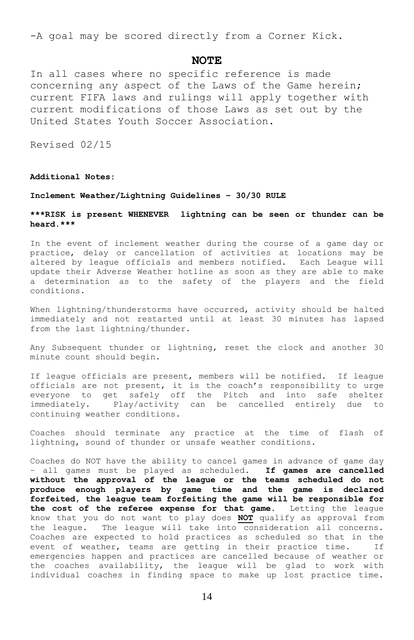-A goal may be scored directly from a Corner Kick.

#### **NOTE**

In all cases where no specific reference is made concerning any aspect of the Laws of the Game herein; current FIFA laws and rulings will apply together with current modifications of those Laws as set out by the United States Youth Soccer Association.

Revised 02/15

**Additional Notes:**

#### **Inclement Weather/Lightning Guidelines – 30/30 RULE**

#### **\*\*\*RISK is present WHENEVER lightning can be seen or thunder can be heard.\*\*\***

In the event of inclement weather during the course of a game day or practice, delay or cancellation of activities at locations may be altered by league officials and members notified. Each League will update their Adverse Weather hotline as soon as they are able to make a determination as to the safety of the players and the field conditions.

When lightning/thunderstorms have occurred, activity should be halted immediately and not restarted until at least 30 minutes has lapsed from the last lightning/thunder.

Any Subsequent thunder or lightning, reset the clock and another 30 minute count should begin.

If league officials are present, members will be notified. If league officials are not present, it is the coach's responsibility to urge everyone to get safely off the Pitch and into safe shelter immediately. Play/activity can be cancelled entirely due to continuing weather conditions.

Coaches should terminate any practice at the time of flash of lightning, sound of thunder or unsafe weather conditions.

Coaches do NOT have the ability to cancel games in advance of game day – all games must be played as scheduled. **If games are cancelled without the approval of the league or the teams scheduled do not produce enough players by game time and the game is declared forfeited, the league team forfeiting the game will be responsible for the cost of the referee expense for that game.** Letting the league know that you do not want to play does **NOT** qualify as approval from the league. The league will take into consideration all concerns. Coaches are expected to hold practices as scheduled so that in the event of weather, teams are getting in their practice time. If emergencies happen and practices are cancelled because of weather or the coaches availability, the league will be glad to work with individual coaches in finding space to make up lost practice time.

14